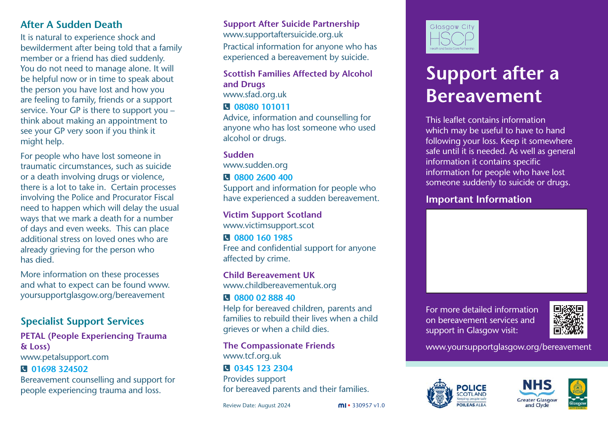## **After A Sudden Death**

It is natural to experience shock and bewilderment after being told that a family member or a friend has died suddenly. You do not need to manage alone. It will be helpful now or in time to speak about the person you have lost and how you are feeling to family, friends or a support service. Your GP is there to support you – think about making an appointment to see your GP very soon if you think it might help.

For people who have lost someone in traumatic circumstances, such as suicide or a death involving drugs or violence, there is a lot to take in. Certain processes involving the Police and Procurator Fiscal need to happen which will delay the usual ways that we mark a death for a number of days and even weeks. This can place additional stress on loved ones who are already grieving for the person who has died.

More information on these processes and what to expect can be found www. yoursupportglasgow.org/bereavement

## **Specialist Support Services**

#### **PETAL (People Experiencing Trauma & Loss)**  www.petalsupport.com

## J **01698 324502**

Bereavement counselling and support for people experiencing trauma and loss.

## **Support After Suicide Partnership**

www.supportaftersuicide.org.uk Practical information for anyone who has experienced a bereavement by suicide.

#### **Scottish Families Affected by Alcohol and Drugs**  www.sfad.org.uk J **08080 101011**

Advice, information and counselling for anyone who has lost someone who used alcohol or drugs.

## **Sudden**

www.sudden.org

## J **0800 2600 400**

Support and information for people who have experienced a sudden bereavement.

**Victim Support Scotland**  www.victimsupport.scot

#### J **0800 160 1985** Free and confidential support for anyone affected by crime.

**Child Bereavement UK**  www.childbereavementuk.org

## J **0800 02 888 40**

Help for bereaved children, parents and families to rebuild their lives when a child grieves or when a child dies.

**The Compassionate Friends** www.tcf.org.uk

#### J **0345 123 2304**  Provides support for bereaved parents and their families.

Review Date: August 2024





# **Support after a Bereavement**

This leaflet contains information which may be useful to have to hand following your loss. Keep it somewhere safe until it is needed. As well as general information it contains specific information for people who have lost someone suddenly to suicide or drugs.

## **Important Information**

For more detailed information on bereavement services and support in Glasgow visit:



www.yoursupportglasgow.org/bereavement